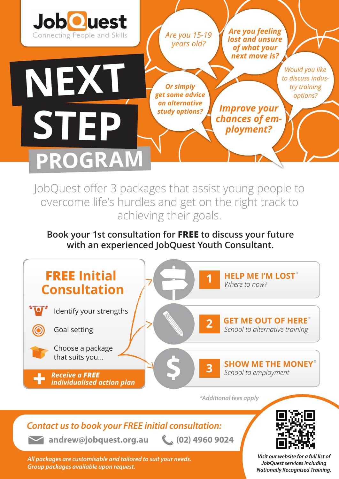

*Are you 15-19 years old?* 

*Or simply get some advice on alternative study options?* 

*Are you feeling lost and unsure of what your next move is?*

*Improve your chances of employment?*

*Would you like to discuss industry training options?*

# **PROGRAM NEXT STEP**

JobQuest offer 3 packages that assist young people to overcome life's hurdles and get on the right track to achieving their goals.

#### **Book your 1st consultation for FREE to discuss your future with an experienced JobQuest Youth Consultant.**



*\*Additional fees apply*

### *Contact us to book your FREE initial consultation:*

**andrew@jobquest.org.au (02) 4960 9024** 

*All packages are customisable and tailored to suit your needs. Group packages available upon request.*



*Visit our website for a full list of JobQuest services including Nationally Recognised Training.*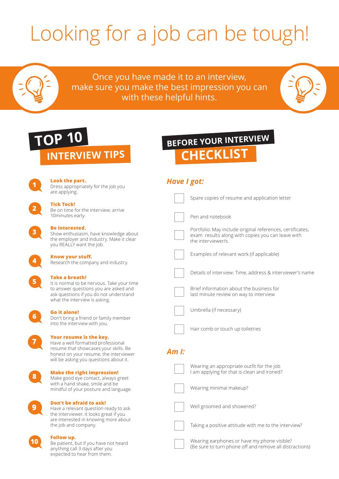# Looking for a job can be tough!

Once you have made it to an interview, make sure you make the best impression you can with these helpful hints.

### **INTERVIEW TIPS TOP 10**

**1**

**2**

**3**

**4**

**5**

**6**

**7**

**8**

**9**

**10**

### **CHECKLIST BEFORE YOUR INTERVIEW**

| Look the part.<br>Dress appropriately for the job you<br>are applying.                                                                                                                     | <b>Have I got:</b>                                                                                                                   |
|--------------------------------------------------------------------------------------------------------------------------------------------------------------------------------------------|--------------------------------------------------------------------------------------------------------------------------------------|
| <b>Tick Tock!</b>                                                                                                                                                                          | Spare copies of resume and application letter                                                                                        |
| Be on time for the interview; arrive<br>10minutes early.                                                                                                                                   | Pen and notebook                                                                                                                     |
| <b>Be interested.</b><br>Show enthusiasm, have knowledge about<br>the employer and industry. Make it clear<br>you REALLY want the job.                                                     | Portfolio: May include original references, certificates,<br>exam results along with copies you can leave with<br>the interviewer/s. |
| Know your stuff.<br>Research the company and industry.                                                                                                                                     | Examples of relevant work (if applicable)                                                                                            |
| <b>Take a breath!</b>                                                                                                                                                                      | Details of interview: Time, address & interviewer's name                                                                             |
| It is normal to be nervous. Take your time<br>to answer questions you are asked and<br>ask questions if you do not understand<br>what the interview is asking.                             | Brief information about the business for<br>last minute review on way to interview                                                   |
| <b>Go it alone!</b><br>Don't bring a friend or family member                                                                                                                               | Umbrella (if necessary)                                                                                                              |
| into the interview with you.                                                                                                                                                               | Hair comb or touch up toiletries                                                                                                     |
| Your resume is the key.<br>Have a well formatted professional<br>resume that showcases your skills. Be<br>honest on your resume, the interviewer<br>will be asking you questions about it. | $Aml$ :                                                                                                                              |
| <b>Make the right impression!</b><br>Make good eye contact, always greet                                                                                                                   | Wearing an appropriate outfit for the job<br>I am applying for that is clean and ironed?                                             |
| with a hand shake, smile and be<br>mindful of your posture and language.                                                                                                                   | Wearing minimal makeup?                                                                                                              |
| Don't be afraid to ask!<br>Have a relevant question ready to ask<br>the interviewer. It looks great if you                                                                                 | Well groomed and showered?                                                                                                           |
| are interested in knowing more about<br>the job and company.                                                                                                                               | Taking a positive attitude with me to the interview?                                                                                 |
| Follow up.<br>Repartient but if you have not heard                                                                                                                                         | Wearing earphones or have my phone visible?                                                                                          |

(Be sure to turn phone off and remove all distractions)

Be patient, but if you have not heard anything call 3 days after you expected to hear from them.